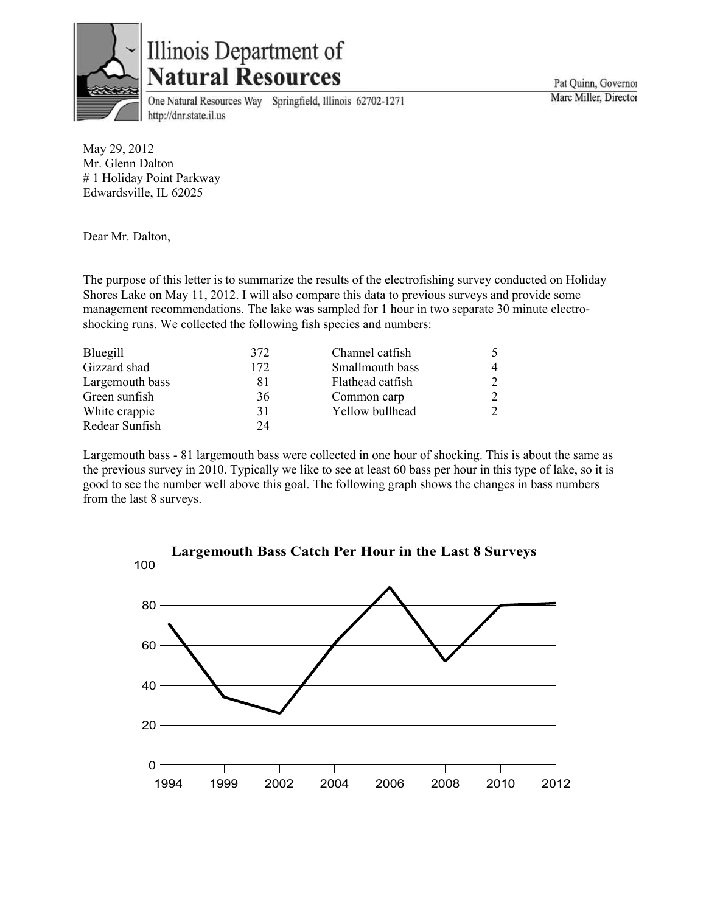

## Illinois Department of **Natural Resources**

One Natural Resources Way Springfield, Illinois 62702-1271 http://dnr.state.il.us

May 29, 2012 Mr. Glenn Dalton # 1 Holiday Point Parkway Edwardsville, IL 62025

Dear Mr. Dalton,

The purpose of this letter is to summarize the results of the electrofishing survey conducted on Holiday Shores Lake on May 11, 2012. I will also compare this data to previous surveys and provide some management recommendations. The lake was sampled for 1 hour in two separate 30 minute electroshocking runs. We collected the following fish species and numbers:

| Bluegill        | 372 | Channel catfish  |  |
|-----------------|-----|------------------|--|
| Gizzard shad    | 172 | Smallmouth bass  |  |
| Largemouth bass | 81  | Flathead catfish |  |
| Green sunfish   | 36  | Common carp      |  |
| White crappie   | 31  | Yellow bullhead  |  |
| Redear Sunfish  | 24  |                  |  |

Largemouth bass - 81 largemouth bass were collected in one hour of shocking. This is about the same as the previous survey in 2010. Typically we like to see at least 60 bass per hour in this type of lake, so it is good to see the number well above this goal. The following graph shows the changes in bass numbers from the last 8 surveys.